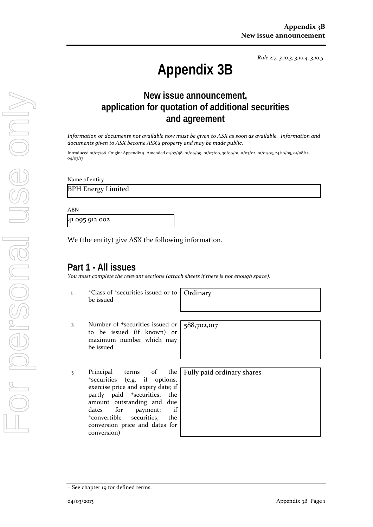*Rule 2.7, 3.10.3, 3.10.4, 3.10.5*

# **Appendix 3B**

## **New issue announcement, application for quotation of additional securities and agreement**

*Information or documents not available now must be given to ASX as soon as available. Information and documents given to ASX become ASX's property and may be made public.*

Introduced 01/07/96 Origin: Appendix 5 Amended 01/07/98, 01/09/99, 01/07/00, 30/09/01, 11/03/02, 01/01/03, 24/10/05, 01/08/12, 04/03/13

Name of entity

BPH Energy Limited

ABN

41 095 912 002

We (the entity) give ASX the following information.

### **Part 1 - All issues**

*You must complete the relevant sections (attach sheets if there is not enough space).*

- 1 +Class of +securities issued or to be issued **Ordinary**
- 2 Number of +securities issued or to be issued (if known) or maximum number which may be issued

3 Principal terms of the +securities (e.g. if options, exercise price and expiry date; if partly paid <sup>+</sup>securities, the amount outstanding and due dates for payment; if +convertible securities, the conversion price and dates for conversion)

588,702,017

Fully paid ordinary shares

<sup>+</sup> See chapter 19 for defined terms.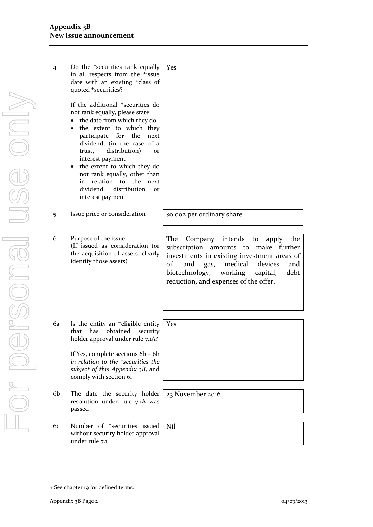| $\overline{4}$ | Do the <sup>+</sup> securities rank equally<br>in all respects from the <sup>+</sup> issue<br>date with an existing <sup>+</sup> class of<br>quoted +securities?                                                                                                                                                                                                                                                                | Yes                                                                                                                                                                                 |
|----------------|---------------------------------------------------------------------------------------------------------------------------------------------------------------------------------------------------------------------------------------------------------------------------------------------------------------------------------------------------------------------------------------------------------------------------------|-------------------------------------------------------------------------------------------------------------------------------------------------------------------------------------|
|                | If the additional <sup>+</sup> securities do<br>not rank equally, please state:<br>the date from which they do<br>the extent to which they<br>participate<br>for the<br>next<br>dividend, (in the case of a<br>distribution)<br>trust,<br><b>Or</b><br>interest payment<br>the extent to which they do<br>not rank equally, other than<br>in relation to the<br>next<br>dividend, distribution<br><b>or</b><br>interest payment |                                                                                                                                                                                     |
| 5              | Issue price or consideration                                                                                                                                                                                                                                                                                                                                                                                                    | \$0.002 per ordinary share                                                                                                                                                          |
| 6              | Purpose of the issue<br>(If issued as consideration for<br>the acquisition of assets, clearly<br>identify those assets)                                                                                                                                                                                                                                                                                                         | Company intends to<br>The<br>the<br>apply<br>subscription amounts to make further<br>investments in existing investment areas of<br>medical<br>oil<br>devices<br>and<br>and<br>gas, |

6a Is the entity an +eligible entity that has obtained security holder approval under rule 7.1A?

> If Yes, complete sections 6b – 6h *in relation to the +securities the subject of this Appendix 3B*, and comply with section 6i

- 6b The date the security holder resolution under rule 7.1A was passed
- 6c Number of +securities issued without security holder approval under rule 7.1

Yes

biotechnology, working capital, debt

reduction, and expenses of the offer.

23 November 2016

Nil

<sup>+</sup> See chapter 19 for defined terms.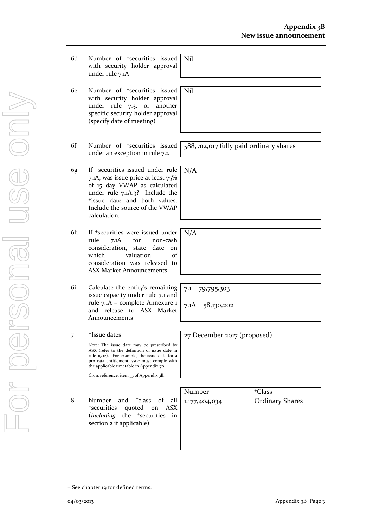- 6d Number of +securities issued with security holder approval under rule 7.1A Nil
- 6e Number of +securities issued with security holder approval under rule 7.3, or another specific security holder approval (specify date of meeting)
- 6f Number of +securities issued under an exception in rule 7.2
- 6g If +securities issued under rule 7.1A, was issue price at least 75% of 15 day VWAP as calculated under rule 7.1A.3? Include the +issue date and both values. Include the source of the VWAP calculation.
- 6h If +securities were issued under rule 7.1A for non-cash consideration, state date on which valuation of consideration was released to ASX Market Announcements
- 6i Calculate the entity's remaining issue capacity under rule 7.1 and rule 7.1A – complete Annexure 1 and release to ASX Market Announcements

#### 7 <sup>+</sup>Issue dates

Note: The issue date may be prescribed by ASX (refer to the definition of issue date in rule 19.12). For example, the issue date for a pro rata entitlement issue must comply with the applicable timetable in Appendix 7A.

Cross reference: item 33 of Appendix 3B.

8 Number and <sup>+</sup>class of all <sup>+</sup>securities quoted on ASX (*including* the <sup>+</sup>securities in section 2 if applicable)

| <sup>+</sup> Class     |
|------------------------|
| <b>Ordinary Shares</b> |
|                        |
|                        |
|                        |
|                        |
|                        |

588,702,017 fully paid ordinary shares

 $7.1 = 79,795,303$ 

Nil

N/A

N/A

 $7.1A = 58,130,202$ 

27 December 2017 (pr0posed)

<sup>+</sup> See chapter 19 for defined terms.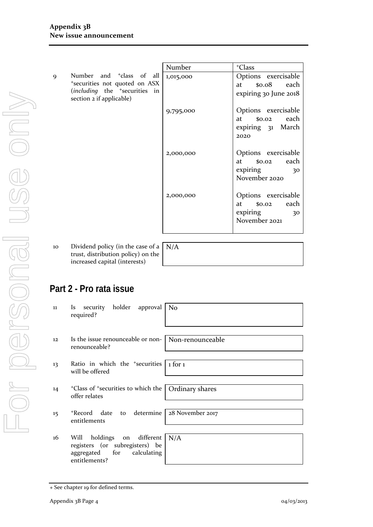|   |                                                                                                                                                | Number    | <sup>+</sup> Class                                                          |
|---|------------------------------------------------------------------------------------------------------------------------------------------------|-----------|-----------------------------------------------------------------------------|
| 9 | Number and <sup>+</sup> class of all<br>*securities not quoted on ASX<br>(including the <sup>+</sup> securities in<br>section 2 if applicable) | 1,015,000 | Options exercisable<br>\$0.08 each<br>at<br>expiring 30 June 2018           |
|   |                                                                                                                                                | 9,795,000 | Options exercisable<br>each<br>\$0.02<br>at<br>expiring 31 March<br>2020    |
|   |                                                                                                                                                | 2,000,000 | Options exercisable<br>\$0.02 each<br>at<br>expiring<br>30<br>November 2020 |
|   |                                                                                                                                                | 2,000,000 | Options exercisable<br>each<br>at \$0.02<br>expiring<br>30<br>November 2021 |

10 Dividend policy (in the case of a trust, distribution policy) on the increased capital (interests)

 $N/A$ 

# **Part 2 - Pro rata issue**

| 11 | security holder approval<br>Is.<br>required?                                                                | N <sub>o</sub>   |
|----|-------------------------------------------------------------------------------------------------------------|------------------|
|    |                                                                                                             |                  |
| 12 | Is the issue renounceable or non-   Non-renounceable<br>renounceable?                                       |                  |
|    |                                                                                                             |                  |
| 13 | Ratio in which the <sup>+</sup> securities<br>will be offered                                               | $1$ for $1$      |
|    |                                                                                                             |                  |
| 14 | <sup>+</sup> Class of <sup>+</sup> securities to which the<br>offer relates                                 | Ordinary shares  |
|    |                                                                                                             |                  |
| 15 | to determine<br>+Record date<br>entitlements                                                                | 28 November 2017 |
|    |                                                                                                             |                  |
| 16 | Will holdings on different<br>registers (or subregisters) be<br>aggregated for calculating<br>entitlements? | N/A              |
|    |                                                                                                             |                  |

<sup>+</sup> See chapter 19 for defined terms.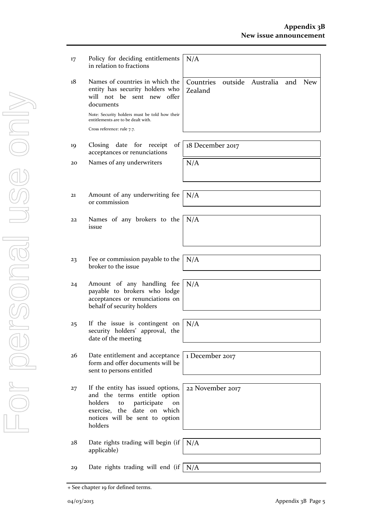New

| 17 | Policy for deciding entitlements<br>in relation to fractions                                                                                                                           | N/A                                              |
|----|----------------------------------------------------------------------------------------------------------------------------------------------------------------------------------------|--------------------------------------------------|
| 18 | Names of countries in which the<br>entity has security holders who<br>will not be<br>sent new<br>offer<br>documents                                                                    | Countries<br>outside Australia<br>and<br>Zealand |
|    | Note: Security holders must be told how their<br>entitlements are to be dealt with.                                                                                                    |                                                  |
|    | Cross reference: rule 7.7.                                                                                                                                                             |                                                  |
| 19 | Closing date for receipt<br>of<br>acceptances or renunciations                                                                                                                         | 18 December 2017                                 |
| 20 | Names of any underwriters                                                                                                                                                              | N/A                                              |
| 21 | Amount of any underwriting fee<br>or commission                                                                                                                                        | N/A                                              |
| 22 | Names of any brokers to the<br>issue                                                                                                                                                   | N/A                                              |
| 23 | Fee or commission payable to the<br>broker to the issue                                                                                                                                | N/A                                              |
| 24 | Amount of any handling fee<br>payable to brokers who lodge<br>acceptances or renunciations on<br>behalf of security holders                                                            | N/A                                              |
| 25 | If the issue is contingent on<br>security holders' approval, the<br>date of the meeting                                                                                                | N/A                                              |
| 26 | Date entitlement and acceptance<br>form and offer documents will be<br>sent to persons entitled                                                                                        | 1 December 2017                                  |
| 27 | If the entity has issued options,<br>and the terms entitle option<br>holders<br>participate<br>to<br>on<br>exercise, the date<br>on which<br>notices will be sent to option<br>holders | 22 November 2017                                 |
| 28 | Date rights trading will begin (if<br>applicable)                                                                                                                                      | N/A                                              |
| 29 | Date rights trading will end (if                                                                                                                                                       | N/A                                              |
|    |                                                                                                                                                                                        |                                                  |

+ See chapter 19 for defined terms.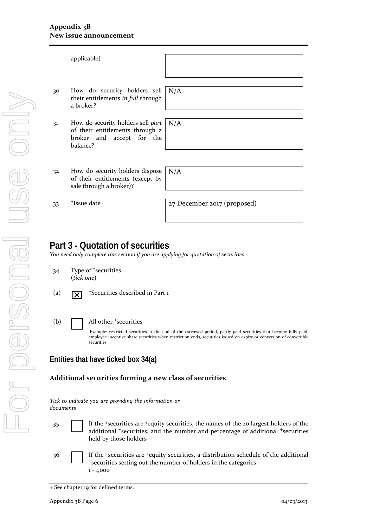|    | applicable)                                                                                                   |                             |
|----|---------------------------------------------------------------------------------------------------------------|-----------------------------|
|    |                                                                                                               |                             |
| 30 | How do security holders sell<br>their entitlements in full through<br>a broker?                               | N/A                         |
|    |                                                                                                               |                             |
| 31 | How do security holders sell part<br>of their entitlements through a<br>broker and accept for the<br>balance? | N/A                         |
|    |                                                                                                               |                             |
|    |                                                                                                               |                             |
| 32 | How do security holders dispose<br>of their entitlements (except by<br>sale through a broker)?                | N/A                         |
|    |                                                                                                               |                             |
| 33 | <sup>+</sup> Issue date                                                                                       | 27 December 2017 (proposed) |
|    |                                                                                                               |                             |

## **Part 3 - Quotation of securities**

*You need only complete this section if you are applying for quotation of securities*

34 Type of <sup>+</sup>securities (*tick one*)

For personal use only

r personal

USG ONN

- (a)  $\overline{X}$  <sup>+</sup>Securities described in Part 1
- (b) | All other <sup>+</sup>securities

Example: restricted securities at the end of the escrowed period, partly paid securities that become fully paid, employee incentive share securities when restriction ends, securities issued on expiry or conversion of convertible securities

#### **Entities that have ticked box 34(a)**

#### **Additional securities forming a new class of securities**

|           |  |  | Tick to indicate you are providing the information or |  |
|-----------|--|--|-------------------------------------------------------|--|
| documents |  |  |                                                       |  |

35 If the <sup>+</sup>securities are <sup>+</sup>equity securities, the names of the 20 largest holders of the additional <sup>+</sup>securities, and the number and percentage of additional <sup>+</sup>securities held by those holders

36 If the <sup>+</sup>securities are <sup>+</sup>equity securities, a distribution schedule of the additional <sup>+</sup>securities setting out the number of holders in the categories 1 - 1,000

<sup>+</sup> See chapter 19 for defined terms.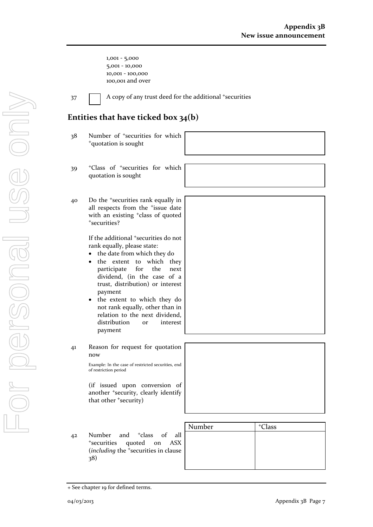1,001 - 5,000 5,001 - 10,000 10,001 - 100,000 100,001 and over

37 A copy of any trust deed for the additional +securities

### **Entities that have ticked box 34(b)**

- 38 Number of <sup>+</sup>securities for which <sup>+</sup>quotation is sought
- 39 <sup>+</sup>Class of <sup>+</sup>securities for which quotation is sought
- 40 Do the <sup>+</sup>securities rank equally in all respects from the <sup>+</sup>issue date with an existing <sup>+</sup>class of quoted <sup>+</sup>securities?

If the additional <sup>+</sup>securities do not rank equally, please state:

- the date from which they do
- the extent to which they participate for the next dividend, (in the case of a trust, distribution) or interest payment
- the extent to which they do not rank equally, other than in relation to the next dividend, distribution or interest payment
- 41 Reason for request for quotation now

Example: In the case of restricted securities, end of restriction period

(if issued upon conversion of another <sup>+</sup>security, clearly identify that other <sup>+</sup>security)

42 Number and <sup>+</sup>class of all <sup>+</sup>securities quoted on ASX (*including* the <sup>+</sup>securities in clause 38)

| <sup>+</sup> Class |
|--------------------|
|                    |
|                    |
|                    |
|                    |
|                    |

<sup>+</sup> See chapter 19 for defined terms.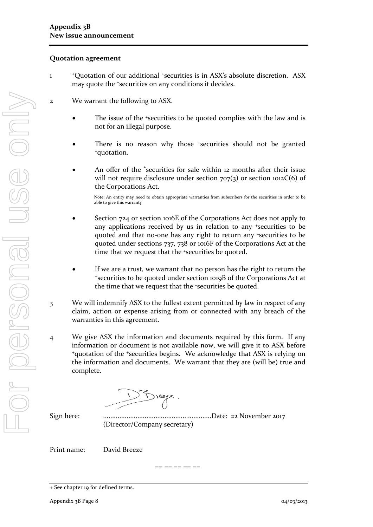#### **Quotation agreement**

- 1 <sup>+</sup>Quotation of our additional +securities is in ASX's absolute discretion. ASX may quote the +securities on any conditions it decides.
- 2 We warrant the following to ASX.
	- The issue of the *\*securities* to be quoted complies with the law and is not for an illegal purpose.
	- There is no reason why those +securities should not be granted +quotation.
	- An offer of the <sup>+</sup>securities for sale within 12 months after their issue will not require disclosure under section  $707(3)$  or section  $1012C(6)$  of the Corporations Act.

Note: An entity may need to obtain appropriate warranties from subscribers for the securities in order to be able to give this warranty

- Section 724 or section 1016E of the Corporations Act does not apply to any applications received by us in relation to any +securities to be quoted and that no-one has any right to return any +securities to be quoted under sections 737, 738 or 1016F of the Corporations Act at the time that we request that the +securities be quoted.
- If we are a trust, we warrant that no person has the right to return the <sup>+</sup>securities to be quoted under section 1019B of the Corporations Act at the time that we request that the +securities be quoted.
- 3 We will indemnify ASX to the fullest extent permitted by law in respect of any claim, action or expense arising from or connected with any breach of the warranties in this agreement.
- 4 We give ASX the information and documents required by this form. If any information or document is not available now, we will give it to ASX before <sup>+</sup>quotation of the +securities begins. We acknowledge that ASX is relying on the information and documents. We warrant that they are (will be) true and complete.

Sign here: ............................................................Date: 22 November 2017 (Director/Company secretary)

Print name: David Breeze

== == == == ==

<sup>+</sup> See chapter 19 for defined terms.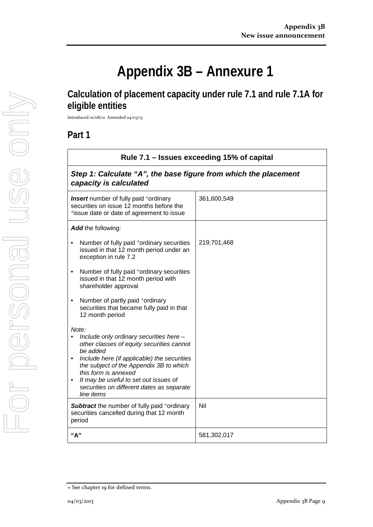# **Appendix 3B – Annexure 1**

## **Calculation of placement capacity under rule 7.1 and rule 7.1A for eligible entities**

Introduced 01/08/12 Amended 04/03/13

## **Part 1**

| Rule 7.1 – Issues exceeding 15% of capital                                                                                                                                                                                                                                                                                      |             |  |
|---------------------------------------------------------------------------------------------------------------------------------------------------------------------------------------------------------------------------------------------------------------------------------------------------------------------------------|-------------|--|
| Step 1: Calculate "A", the base figure from which the placement<br>capacity is calculated                                                                                                                                                                                                                                       |             |  |
| <b>Insert</b> number of fully paid <sup>+</sup> ordinary<br>securities on issue 12 months before the<br>*issue date or date of agreement to issue                                                                                                                                                                               | 361,600,549 |  |
| Add the following:                                                                                                                                                                                                                                                                                                              |             |  |
| Number of fully paid *ordinary securities<br>issued in that 12 month period under an<br>exception in rule 7.2                                                                                                                                                                                                                   | 219,701,468 |  |
| Number of fully paid <sup>+</sup> ordinary securities<br>issued in that 12 month period with<br>shareholder approval                                                                                                                                                                                                            |             |  |
| Number of partly paid +ordinary<br>$\bullet$<br>securities that became fully paid in that<br>12 month period                                                                                                                                                                                                                    |             |  |
| Note:<br>Include only ordinary securities here -<br>other classes of equity securities cannot<br>be added<br>Include here (if applicable) the securities<br>the subject of the Appendix 3B to which<br>this form is annexed<br>It may be useful to set out issues of<br>securities on different dates as separate<br>line items |             |  |
| <b>Subtract</b> the number of fully paid <sup>+</sup> ordinary<br>securities cancelled during that 12 month<br>period                                                                                                                                                                                                           | Nil         |  |
| "А"                                                                                                                                                                                                                                                                                                                             | 581,302,017 |  |

<sup>+</sup> See chapter 19 for defined terms.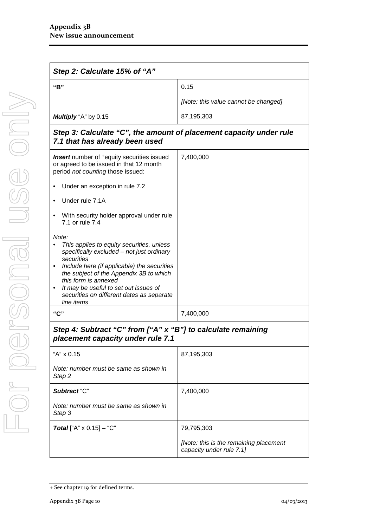| Step 2: Calculate 15% of "A" |                                      |
|------------------------------|--------------------------------------|
| "B"                          | 0.15                                 |
|                              | [Note: this value cannot be changed] |
| <b>Multiply</b> "A" by 0.15  | 87,195,303                           |

#### *Step 3: Calculate "C", the amount of placement capacity under rule 7.1 that has already been used*

| <b>Insert</b> number of <sup>+</sup> equity securities issued<br>or agreed to be issued in that 12 month<br>period not counting those issued:<br>Under an exception in rule 7.2<br>Under rule 7.1A<br>With security holder approval under rule<br>٠<br>7.1 or rule 7.4<br>Note:<br>This applies to equity securities, unless<br>specifically excluded - not just ordinary<br>securities<br>Include here (if applicable) the securities<br>the subject of the Appendix 3B to which<br>this form is annexed<br>It may be useful to set out issues of<br>securities on different dates as separate<br>line items | 7,400,000                                                          |
|---------------------------------------------------------------------------------------------------------------------------------------------------------------------------------------------------------------------------------------------------------------------------------------------------------------------------------------------------------------------------------------------------------------------------------------------------------------------------------------------------------------------------------------------------------------------------------------------------------------|--------------------------------------------------------------------|
| "C"                                                                                                                                                                                                                                                                                                                                                                                                                                                                                                                                                                                                           | 7,400,000                                                          |
| Step 4: Subtract "C" from ["A" x "B"] to calculate remaining<br>placement capacity under rule 7.1                                                                                                                                                                                                                                                                                                                                                                                                                                                                                                             |                                                                    |
| "A" x 0.15                                                                                                                                                                                                                                                                                                                                                                                                                                                                                                                                                                                                    | 87,195,303                                                         |
| Note: number must be same as shown in<br>Step <sub>2</sub>                                                                                                                                                                                                                                                                                                                                                                                                                                                                                                                                                    |                                                                    |
| Subtract "C"                                                                                                                                                                                                                                                                                                                                                                                                                                                                                                                                                                                                  | 7,400,000                                                          |
| Note: number must be same as shown in<br>Step 3                                                                                                                                                                                                                                                                                                                                                                                                                                                                                                                                                               |                                                                    |
| <b>Total</b> ["A" $\times$ 0.15] - "C"                                                                                                                                                                                                                                                                                                                                                                                                                                                                                                                                                                        | 79,795,303                                                         |
|                                                                                                                                                                                                                                                                                                                                                                                                                                                                                                                                                                                                               | [Note: this is the remaining placement<br>capacity under rule 7.1] |

<sup>+</sup> See chapter 19 for defined terms.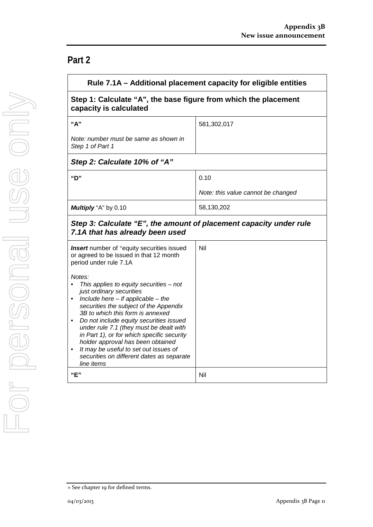# **Part 2**

|                                                                                                                                                                                                                                                                                                                                                                                                                                                                                      | Rule 7.1A – Additional placement capacity for eligible entities |  |
|--------------------------------------------------------------------------------------------------------------------------------------------------------------------------------------------------------------------------------------------------------------------------------------------------------------------------------------------------------------------------------------------------------------------------------------------------------------------------------------|-----------------------------------------------------------------|--|
| Step 1: Calculate "A", the base figure from which the placement<br>capacity is calculated                                                                                                                                                                                                                                                                                                                                                                                            |                                                                 |  |
| "A"                                                                                                                                                                                                                                                                                                                                                                                                                                                                                  | 581,302,017                                                     |  |
| Note: number must be same as shown in<br>Step 1 of Part 1                                                                                                                                                                                                                                                                                                                                                                                                                            |                                                                 |  |
| Step 2: Calculate 10% of "A"                                                                                                                                                                                                                                                                                                                                                                                                                                                         |                                                                 |  |
| "D"                                                                                                                                                                                                                                                                                                                                                                                                                                                                                  | 0.10                                                            |  |
|                                                                                                                                                                                                                                                                                                                                                                                                                                                                                      | Note: this value cannot be changed                              |  |
| Multiply "A" by 0.10                                                                                                                                                                                                                                                                                                                                                                                                                                                                 | 58,130,202                                                      |  |
| Step 3: Calculate "E", the amount of placement capacity under rule<br>7.1A that has already been used<br><b>Insert</b> number of <sup>+</sup> equity securities issued                                                                                                                                                                                                                                                                                                               | Nil                                                             |  |
| or agreed to be issued in that 12 month<br>period under rule 7.1A                                                                                                                                                                                                                                                                                                                                                                                                                    |                                                                 |  |
| Notes:<br>This applies to equity securities $-$ not<br>just ordinary securities<br>Include here $-$ if applicable $-$ the<br>securities the subject of the Appendix<br>3B to which this form is annexed<br>Do not include equity securities issued<br>under rule 7.1 (they must be dealt with<br>in Part 1), or for which specific security<br>holder approval has been obtained<br>It may be useful to set out issues of<br>securities on different dates as separate<br>line items |                                                                 |  |
| "E"                                                                                                                                                                                                                                                                                                                                                                                                                                                                                  | Nil                                                             |  |

<sup>+</sup> See chapter 19 for defined terms.